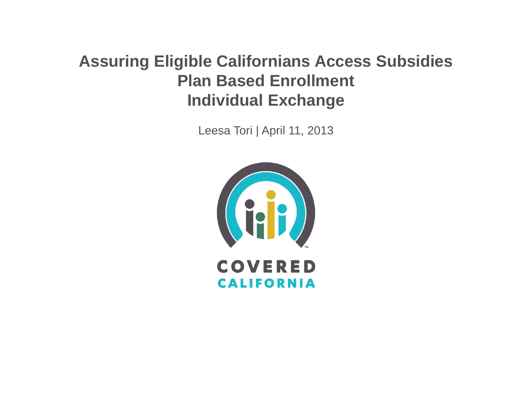#### **Assuring Eligible Californians Access Subsidies Plan Based Enrollment Individual Exchange**

Leesa Tori | April 11, 2013

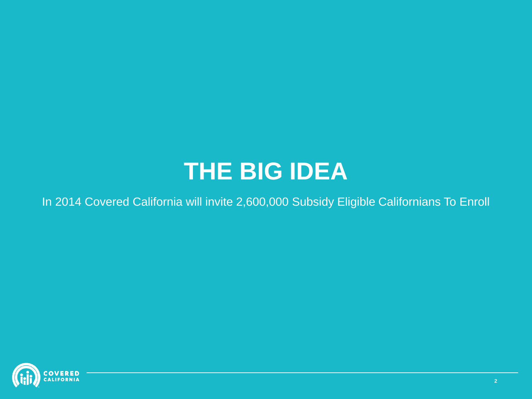## **THE BIG IDEA**

In 2014 Covered California will invite 2,600,000 Subsidy Eligible Californians To Enroll

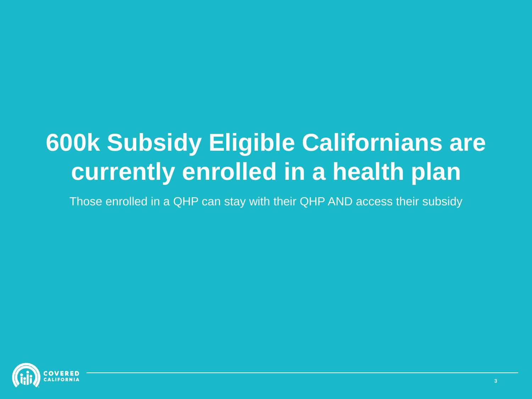# **600k Subsidy Eligible Californians are currently enrolled in a health plan**

Those enrolled in a QHP can stay with their QHP AND access their subsidy

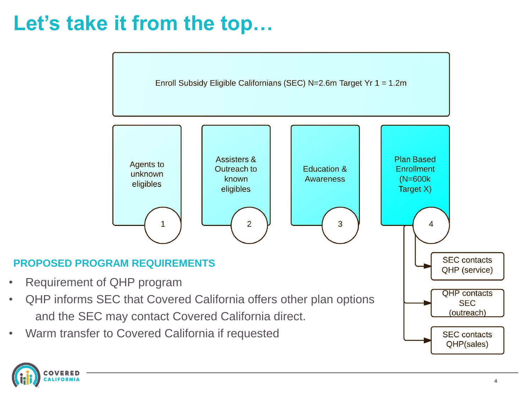## **Let's take it from the top…**



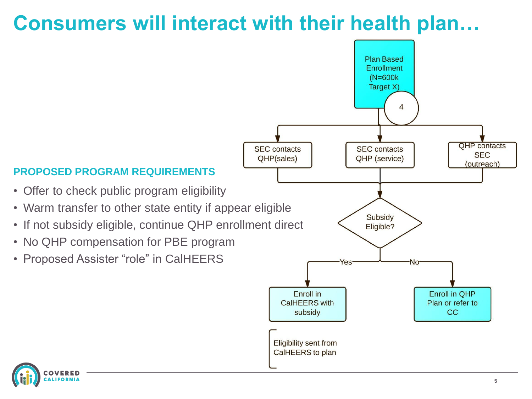#### **Consumers will interact with their health plan…**

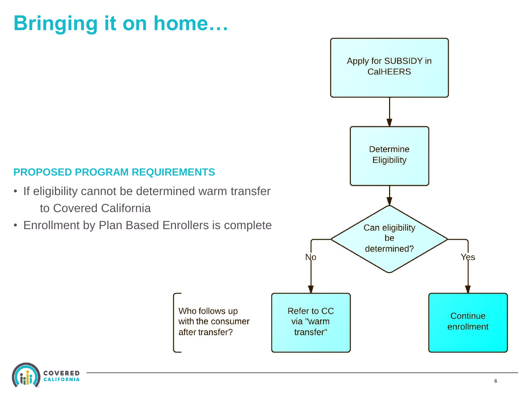## **Bringing it on home…**

#### **PROPOSED PROGRAM REQUIREMENTS**

- If eligibility cannot be determined warm transfer to Covered California
- Enrollment by Plan Based Enrollers is complete